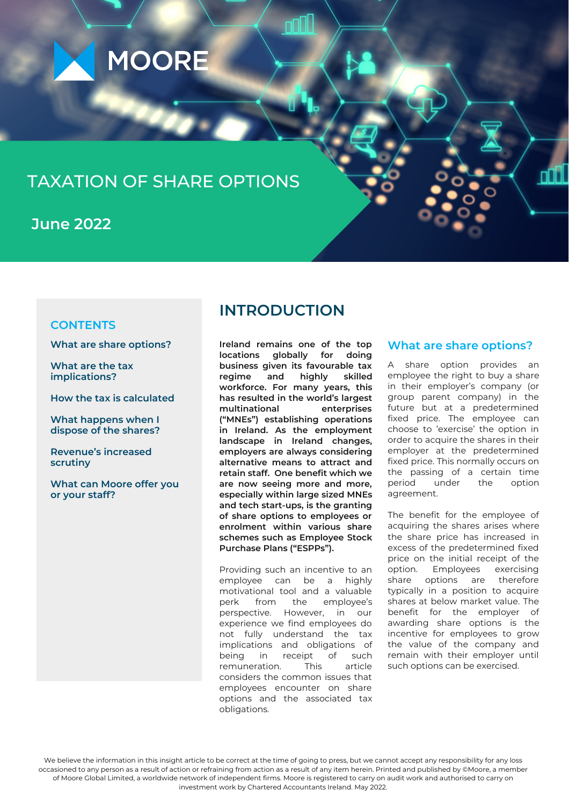

# TAXATION OF SHARE OPTIONS

**June 2022**

### **CONTENTS**

**What are share options?**

**What are the tax implications?**

**How the tax is calculated**

**What happens when I dispose of the shares?**

**Revenue's increased scrutiny**

**What can Moore offer you or your staff?**

# **INTRODUCTION**

**Ireland remains one of the top locations globally for doing business given its favourable tax regime and highly skilled workforce. For many years, this has resulted in the world's largest**  $multiplication$ **("MNEs") establishing operations in Ireland. As the employment landscape in Ireland changes, employers are always considering alternative means to attract and retain staff. One benefit which we are now seeing more and more, especially within large sized MNEs and tech start-ups, is the granting of share options to employees or enrolment within various share schemes such as Employee Stock Purchase Plans ("ESPPs").**

Providing such an incentive to an employee can be a highly motivational tool and a valuable perk from the employee's perspective. However, in our experience we find employees do not fully understand the tax implications and obligations of being in receipt of such remuneration. This article considers the common issues that employees encounter on share options and the associated tax obligations.

### **What are share options?**

A share option provides an employee the right to buy a share in their employer's company (or group parent company) in the future but at a predetermined fixed price. The employee can choose to 'exercise' the option in order to acquire the shares in their employer at the predetermined fixed price. This normally occurs on the passing of a certain time period under the option agreement.

The benefit for the employee of acquiring the shares arises where the share price has increased in excess of the predetermined fixed price on the initial receipt of the option. Employees exercising share options are therefore typically in a position to acquire shares at below market value. The benefit for the employer of awarding share options is the incentive for employees to grow the value of the company and remain with their employer until such options can be exercised.

We believe the information in this insight article to be correct at the time of going to press, but we cannot accept any responsibility for any loss occasioned to any person as a result of action or refraining from action as a result of any item herein. Printed and published by ©Moore, a member of Moore Global Limited, a worldwide network of independent firms. Moore is registered to carry on audit work and authorised to carry on investment work by Chartered Accountants Ireland. May 2022.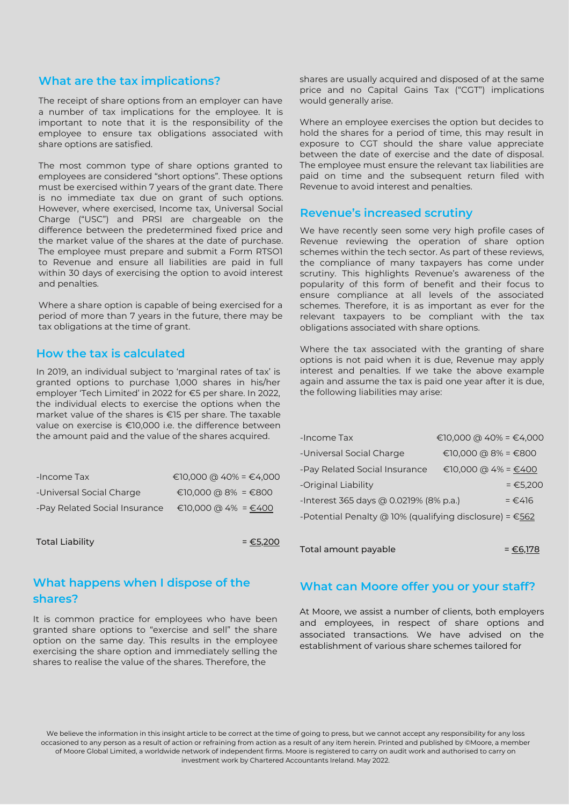### **What are the tax implications?**

The receipt of share options from an employer can have a number of tax implications for the employee. It is important to note that it is the responsibility of the employee to ensure tax obligations associated with share options are satisfied.

The most common type of share options granted to employees are considered "short options". These options must be exercised within 7 years of the grant date. There is no immediate tax due on grant of such options. However, where exercised, Income tax, Universal Social Charge ("USC") and PRSI are chargeable on the difference between the predetermined fixed price and the market value of the shares at the date of purchase. The employee must prepare and submit a Form RTSO1 to Revenue and ensure all liabilities are paid in full within 30 days of exercising the option to avoid interest and penalties.

Where a share option is capable of being exercised for a period of more than 7 years in the future, there may be tax obligations at the time of grant.

## **How the tax is calculated**

In 2019, an individual subject to 'marginal rates of tax' is granted options to purchase 1,000 shares in his/her employer 'Tech Limited' in 2022 for €5 per share. In 2022, the individual elects to exercise the options when the market value of the shares is €15 per share. The taxable value on exercise is €10,000 i.e. the difference between the amount paid and the value of the shares acquired.

| -Income Tax                   | €10,000 @ 40% = €4,000 |
|-------------------------------|------------------------|
| -Universal Social Charge      | €10,000 @ 8% = €800    |
| -Pay Related Social Insurance | €10,000 @ 4% = €400    |

Total Liability  $= \epsilon$ 5,200

## **What happens when I dispose of the shares?**

It is common practice for employees who have been granted share options to "exercise and sell" the share option on the same day. This results in the employee exercising the share option and immediately selling the shares to realise the value of the shares. Therefore, the

shares are usually acquired and disposed of at the same price and no Capital Gains Tax ("CGT") implications would generally arise.

Where an employee exercises the option but decides to hold the shares for a period of time, this may result in exposure to CGT should the share value appreciate between the date of exercise and the date of disposal. The employee must ensure the relevant tax liabilities are paid on time and the subsequent return filed with Revenue to avoid interest and penalties.

### **Revenue's increased scrutiny**

We have recently seen some very high profile cases of Revenue reviewing the operation of share option schemes within the tech sector. As part of these reviews, the compliance of many taxpayers has come under scrutiny. This highlights Revenue's awareness of the popularity of this form of benefit and their focus to ensure compliance at all levels of the associated schemes. Therefore, it is as important as ever for the relevant taxpayers to be compliant with the tax obligations associated with share options.

Where the tax associated with the granting of share options is not paid when it is due, Revenue may apply interest and penalties. If we take the above example again and assume the tax is paid one year after it is due, the following liabilities may arise:

| -Income Tax                                                       | €10,000 @ 40% = €4,000 |  |
|-------------------------------------------------------------------|------------------------|--|
| -Universal Social Charge                                          | €10,000 @ 8% = €800    |  |
| -Pay Related Social Insurance                                     | €10,000 @ 4% = $€400$  |  |
| -Original Liability                                               | $= 65,200$             |  |
| -Interest 365 days @ 0.0219% (8% p.a.)                            | $= €.416$              |  |
| -Potential Penalty @ 10% (qualifying disclosure) = $\epsilon$ 562 |                        |  |
|                                                                   |                        |  |

Total amount payable  $= \epsilon$ 6,178

### **What can Moore offer you or your staff?**

At Moore, we assist a number of clients, both employers and employees, in respect of share options and associated transactions. We have advised on the establishment of various share schemes tailored for

We believe the information in this insight article to be correct at the time of going to press, but we cannot accept any responsibility for any loss occasioned to any person as a result of action or refraining from action as a result of any item herein. Printed and published by ©Moore, a member of Moore Global Limited, a worldwide network of independent firms. Moore is registered to carry on audit work and authorised to carry on investment work by Chartered Accountants Ireland. May 2022.